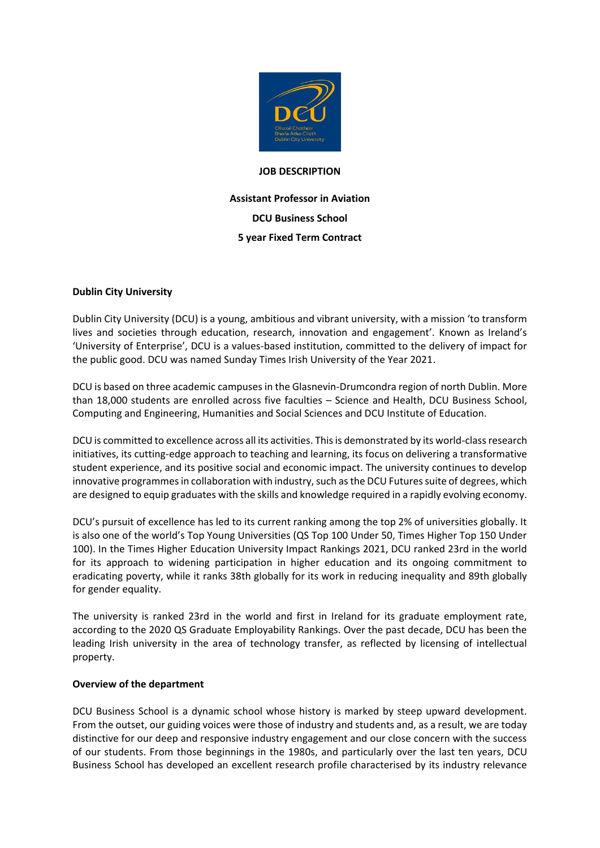

#### **JOB DESCRIPTION**

**Assistant Professor in Aviation DCU Business School 5 year Fixed Term Contract**

# **Dublin City University**

Dublin City University (DCU) is a young, ambitious and vibrant university, with a mission 'to transform lives and societies through education, research, innovation and engagement'. Known as Ireland's 'University of Enterprise', DCU is a values-based institution, committed to the delivery of impact for the public good. DCU was named Sunday Times Irish University of the Year 2021.

DCU is based on three academic campuses in the Glasnevin-Drumcondra region of north Dublin. More than 18,000 students are enrolled across five faculties – Science and Health, DCU Business School, Computing and Engineering, Humanities and Social Sciences and DCU Institute of Education.

DCU is committed to excellence across all its activities. This is demonstrated by its world-class research initiatives, its cutting-edge approach to teaching and learning, its focus on delivering a transformative student experience, and its positive social and economic impact. The university continues to develop innovative programmes in collaboration with industry, such as the DCU Futures suite of degrees, which are designed to equip graduates with the skills and knowledge required in a rapidly evolving economy.

DCU's pursuit of excellence has led to its current ranking among the top 2% of universities globally. It is also one of the world's Top Young Universities (QS Top 100 Under 50, Times Higher Top 150 Under 100). In the Times Higher Education University Impact Rankings 2021, DCU ranked 23rd in the world for its approach to widening participation in higher education and its ongoing commitment to eradicating poverty, while it ranks 38th globally for its work in reducing inequality and 89th globally for gender equality.

The university is ranked 23rd in the world and first in Ireland for its graduate employment rate, according to the 2020 QS Graduate Employability Rankings. Over the past decade, DCU has been the leading Irish university in the area of technology transfer, as reflected by licensing of intellectual property.

### **Overview of the department**

DCU Business School is a dynamic school whose history is marked by steep upward development. From the outset, our guiding voices were those of industry and students and, as a result, we are today distinctive for our deep and responsive industry engagement and our close concern with the success of our students. From those beginnings in the 1980s, and particularly over the last ten years, DCU Business School has developed an excellent research profile characterised by its industry relevance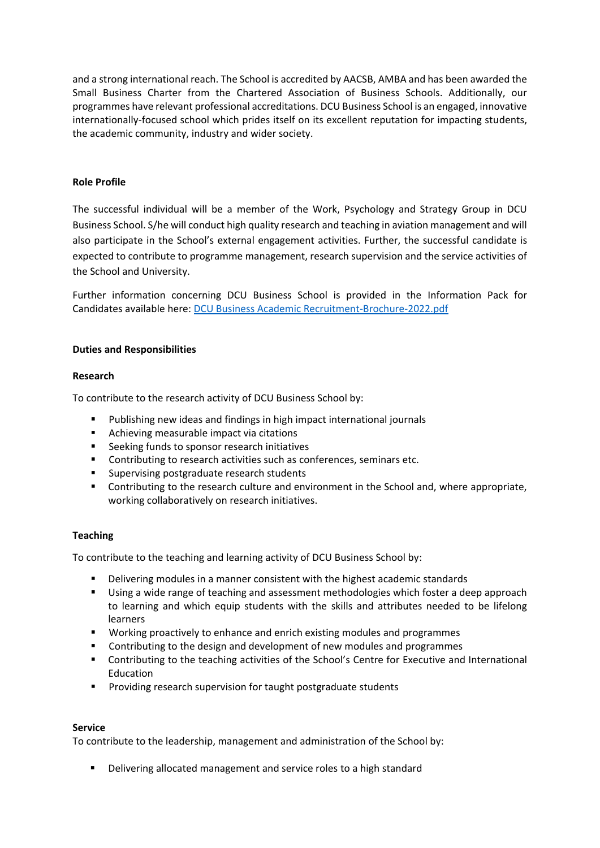and a strong international reach. The School is accredited by AACSB, AMBA and has been awarded the Small Business Charter from the Chartered Association of Business Schools. Additionally, our programmes have relevant professional accreditations. DCU Business School is an engaged, innovative internationally-focused school which prides itself on its excellent reputation for impacting students, the academic community, industry and wider society.

## **Role Profile**

The successful individual will be a member of the Work, Psychology and Strategy Group in DCU Business School. S/he will conduct high quality research and teaching in aviation management and will also participate in the School's external engagement activities. Further, the successful candidate is expected to contribute to programme management, research supervision and the service activities of the School and University.

Further information concerning DCU Business School is provided in the Information Pack for Candidates available here: [DCU Business Academic Recruitment-Brochure-2022.pdf](file://///ad/data/DEPT/HR/ALL/HR-Staff%20work%20folders/Emer%20McKenna/DCU%20Business%20Academic%20Recruitment-Brochure-2022.pdf)

### **Duties and Responsibilities**

### **Research**

To contribute to the research activity of DCU Business School by:

- **Publishing new ideas and findings in high impact international journals**
- **EXEC** Achieving measurable impact via citations
- **EXEC** Seeking funds to sponsor research initiatives
- **•** Contributing to research activities such as conferences, seminars etc.
- **Supervising postgraduate research students**
- Contributing to the research culture and environment in the School and, where appropriate, working collaboratively on research initiatives.

### **Teaching**

To contribute to the teaching and learning activity of DCU Business School by:

- Delivering modules in a manner consistent with the highest academic standards
- Using a wide range of teaching and assessment methodologies which foster a deep approach to learning and which equip students with the skills and attributes needed to be lifelong learners
- **Working proactively to enhance and enrich existing modules and programmes**
- Contributing to the design and development of new modules and programmes
- Contributing to the teaching activities of the School's Centre for Executive and International Education
- **Providing research supervision for taught postgraduate students**

### **Service**

To contribute to the leadership, management and administration of the School by:

Delivering allocated management and service roles to a high standard